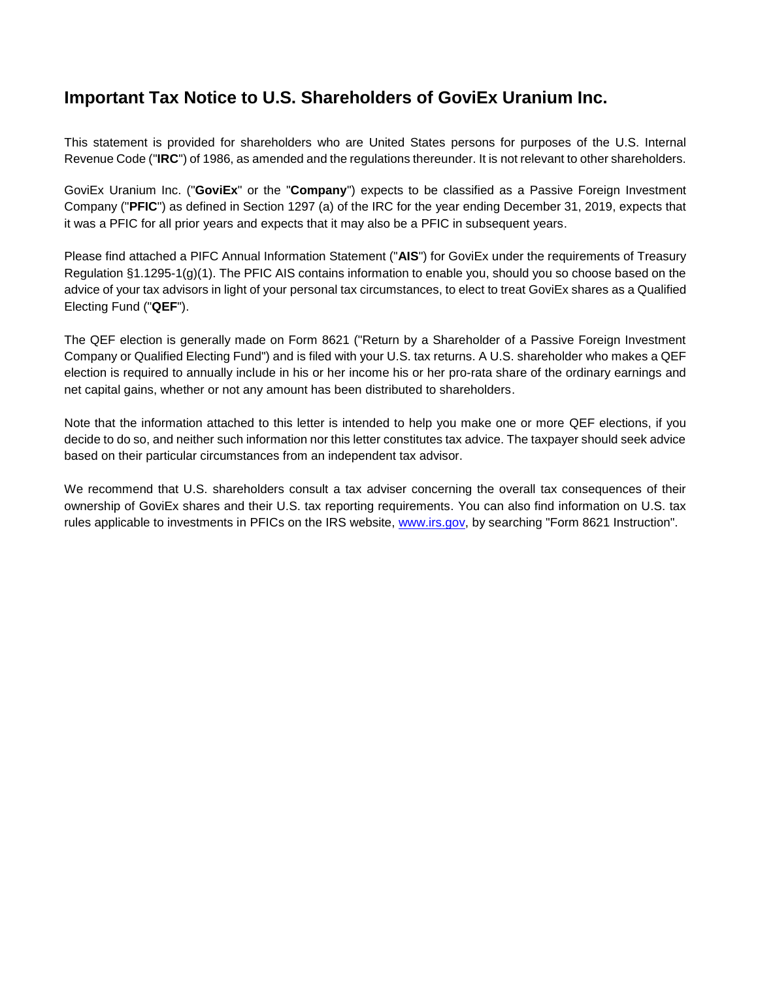## **Important Tax Notice to U.S. Shareholders of GoviEx Uranium Inc.**

This statement is provided for shareholders who are United States persons for purposes of the U.S. Internal Revenue Code ("**IRC**") of 1986, as amended and the regulations thereunder. It is not relevant to other shareholders.

GoviEx Uranium Inc. ("**GoviEx**" or the "**Company**") expects to be classified as a Passive Foreign Investment Company ("**PFIC**") as defined in Section 1297 (a) of the IRC for the year ending December 31, 2019, expects that it was a PFIC for all prior years and expects that it may also be a PFIC in subsequent years.

Please find attached a PIFC Annual Information Statement ("**AIS**") for GoviEx under the requirements of Treasury Regulation §1.1295-1(g)(1). The PFIC AIS contains information to enable you, should you so choose based on the advice of your tax advisors in light of your personal tax circumstances, to elect to treat GoviEx shares as a Qualified Electing Fund ("**QEF**").

The QEF election is generally made on Form 8621 ("Return by a Shareholder of a Passive Foreign Investment Company or Qualified Electing Fund") and is filed with your U.S. tax returns. A U.S. shareholder who makes a QEF election is required to annually include in his or her income his or her pro-rata share of the ordinary earnings and net capital gains, whether or not any amount has been distributed to shareholders.

Note that the information attached to this letter is intended to help you make one or more QEF elections, if you decide to do so, and neither such information nor this letter constitutes tax advice. The taxpayer should seek advice based on their particular circumstances from an independent tax advisor.

We recommend that U.S. shareholders consult a tax adviser concerning the overall tax consequences of their ownership of GoviEx shares and their U.S. tax reporting requirements. You can also find information on U.S. tax rules applicable to investments in PFICs on the IRS website, [www.irs.gov,](http://www.irs.gov/) by searching "Form 8621 Instruction".